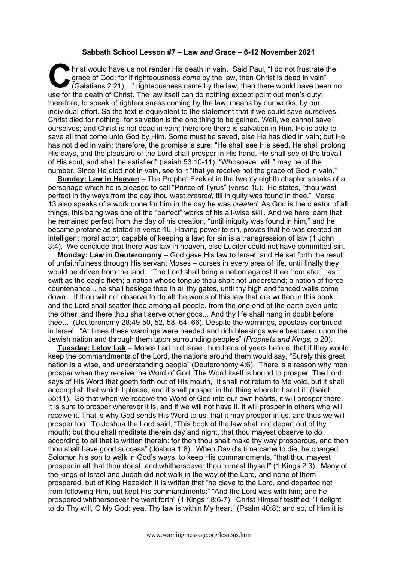## **Sabbath School Lesson #7 – Law** *and* **Grace – 6-12 November 2021**

hrist would have us not render His death in vain. Said Paul, "I do not frustrate the grace of God: for if righteousness *come* by the law, then Christ is dead in vain" (Galatians 2:21). If righteousness came by the law, th grace of God: for if righteousness *come* by the law, then Christ is dead in vain"  $(Galatians 2:21)$ . If righteousness came by the law, then there would have been no use for the death of Christ. The law itself can do nothing except point out men's duty; therefore, to speak of righteousness coming by the law, means by our works, by our individual effort. So the text is equivalent to the statement that if we could save ourselves, Christ died for nothing; for salvation is the one thing to be gained. Well, we cannot save ourselves; and Christ is not dead in vain; therefore there is salvation in Him. He is able to save all that come unto God by Him. Some must be saved, else He has died in vain; but He has not died in vain; therefore, the promise is sure: "He shall see His seed, He shall prolong His days, and the pleasure of the Lord shall prosper in His hand, He shall see of the travail of His soul, and shall be satisfied" (Isaiah 53:10-11). "Whosoever will," may be of the number. Since He died not in vain, see to it "that ye receive not the grace of God in vain."

**Sunday: Law in Heaven** – The Prophet Ezekiel in the twenty eighth chapter speaks of a personage which he is pleased to call "Prince of Tyrus" (verse 15). He states, "thou wast perfect in thy ways from the day thou wast *created*, till iniquity was found in thee." Verse 13 also speaks of a work done for him in the day he was *created*. As God is the creator of all things, this being was one of the "perfect" works of his all-wise skill. And we here learn that he remained perfect from the day of his creation, "until iniquity was found in him," and he became profane as stated in verse 16. Having power to sin, proves that he was created an intelligent moral actor, capable of keeping a law; for sin is a transgression of law (1 John 3:4). We conclude that there was law in heaven, else Lucifer could not have committed sin.

**Monday: Law in Deuteronomy** – God gave His law to Israel, and He set forth the result of unfaithfulness through His servant Moses – curses in every area of life, until finally they would be driven from the land. "The Lord shall bring a nation against thee from afar... as swift as the eagle flieth; a nation whose tongue thou shalt not understand; a nation of fierce countenance... he shall besiege thee in all thy gates, until thy high and fenced walls come down... If thou wilt not observe to do all the words of this law that are written in this book... and the Lord shall scatter thee among all people, from the one end of the earth even unto the other; and there thou shalt serve other gods... And thy life shall hang in doubt before thee..." (Deuteronomy 28:49-50, 52, 58, 64, 66). Despite the warnings, apostasy continued in Israel. "At times these warnings were heeded and rich blessings were bestowed upon the Jewish nation and through them upon surrounding peoples" (*Prophets and Kings*, p 20).

**Tuesday: Letov Lak** – Moses had told Israel, hundreds of years before, that if they would keep the commandments of the Lord, the nations around them would say, "Surely this great nation is a wise, and understanding people" (Deuteronomy 4:6). There is a reason why men prosper when they receive the Word of God. The Word itself is bound to prosper. The Lord says of His Word that goeth forth out of His mouth, "it shall not return to Me void, but it shall accomplish that which I please, and it shall prosper in the thing whereto I sent it" (Isaiah 55:11). So that when we receive the Word of God into our own hearts, it will prosper there. It is sure to prosper wherever it is, and if we will not have it, it will prosper in others who will receive it. That is why God sends His Word to us, that it may prosper in us, and thus we will prosper too. To Joshua the Lord said, "This book of the law shall not depart out of thy mouth; but thou shalt meditate therein day and night, that thou mayest observe to do according to all that is written therein: for then thou shalt make thy way prosperous, and then thou shalt have good success" (Joshua 1:8). When David's time came to die, he charged Solomon his son to walk in God's ways, to keep His commandments, "that thou mayest prosper in all that thou doest, and whithersoever thou turnest thyself" (1 Kings 2:3). Many of the kings of Israel and Judah did not walk in the way of the Lord, and none of them prospered, but of King Hezekiah it is written that "he clave to the Lord, and departed not from following Him, but kept His commandments:" "And the Lord was with him; and he prospered whithersoever he went forth" (1 Kings 18:6-7). Christ Himself testified, "I delight to do Thy will, O My God: yea, Thy law is within My heart" (Psalm 40:8); and so, of Him it is